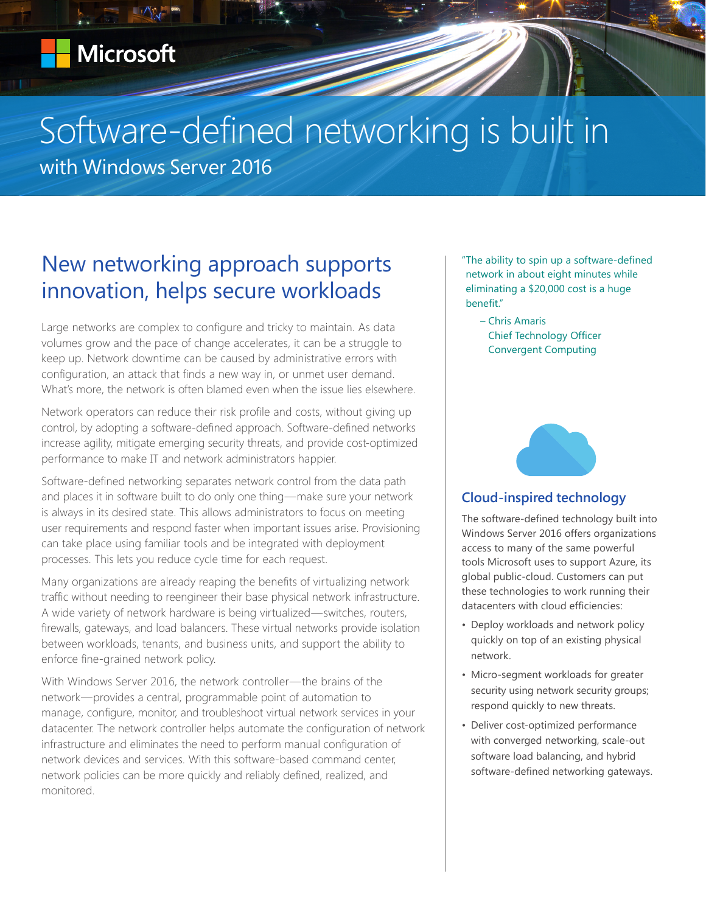## Software-defined networking is built in

with Windows Server 2016

## New networking approach supports innovation, helps secure workloads

Large networks are complex to configure and tricky to maintain. As data volumes grow and the pace of change accelerates, it can be a struggle to keep up. Network downtime can be caused by administrative errors with configuration, an attack that finds a new way in, or unmet user demand. What's more, the network is often blamed even when the issue lies elsewhere.

Network operators can reduce their risk profile and costs, without giving up control, by adopting a software-defined approach. Software-defined networks increase agility, mitigate emerging security threats, and provide cost-optimized performance to make IT and network administrators happier.

Software-defined networking separates network control from the data path and places it in software built to do only one thing—make sure your network is always in its desired state. This allows administrators to focus on meeting user requirements and respond faster when important issues arise. Provisioning can take place using familiar tools and be integrated with deployment processes. This lets you reduce cycle time for each request.

Many organizations are already reaping the benefits of virtualizing network traffic without needing to reengineer their base physical network infrastructure. A wide variety of network hardware is being virtualized—switches, routers, firewalls, gateways, and load balancers. These virtual networks provide isolation between workloads, tenants, and business units, and support the ability to enforce fine-grained network policy.

With Windows Server 2016, the network controller—the brains of the network—provides a central, programmable point of automation to manage, configure, monitor, and troubleshoot virtual network services in your datacenter. The network controller helps automate the configuration of network infrastructure and eliminates the need to perform manual configuration of network devices and services. With this software-based command center, network policies can be more quickly and reliably defined, realized, and monitored.

"The ability to spin up a software-defined network in about eight minutes while eliminating a \$20,000 cost is a huge benefit."

– Chris Amaris Chief Technology Officer Convergent Computing



## **Cloud-inspired technology**

The software-defined technology built into Windows Server 2016 offers organizations access to many of the same powerful tools Microsoft uses to support Azure, its global public-cloud. Customers can put these technologies to work running their datacenters with cloud efficiencies:

- Deploy workloads and network policy quickly on top of an existing physical network.
- Micro-segment workloads for greater security using network security groups; respond quickly to new threats.
- Deliver cost-optimized performance with converged networking, scale-out software load balancing, and hybrid software-defined networking gateways.